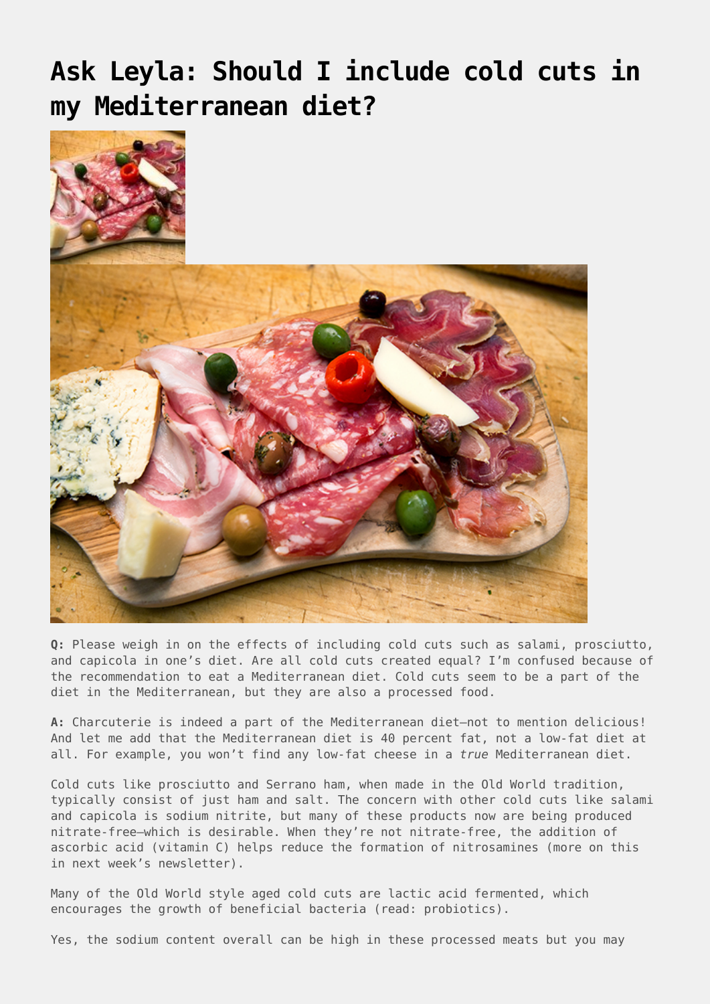## **[Ask Leyla: Should I include cold cuts in](https://drhoffman.com/article/ask-leyla-should-i-include-cold-cuts-in-my-mediterranean-diet/) [my Mediterranean diet?](https://drhoffman.com/article/ask-leyla-should-i-include-cold-cuts-in-my-mediterranean-diet/)**



**Q:** Please weigh in on the effects of including cold cuts such as salami, prosciutto, and capicola in one's diet. Are all cold cuts created equal? I'm confused because of the recommendation to eat a Mediterranean diet. Cold cuts seem to be a part of the diet in the Mediterranean, but they are also a processed food.

**A:** Charcuterie is indeed a part of the Mediterranean diet—not to mention delicious! And let me add that the Mediterranean diet is 40 percent fat, not a low-fat diet at all. For example, you won't find any low-fat cheese in a *true* Mediterranean diet.

Cold cuts like prosciutto and Serrano ham, when made in the Old World tradition, typically consist of just ham and salt. The concern with other cold cuts like salami and capicola is sodium nitrite, but many of these products now are being produced nitrate-free—which is desirable. When they're not nitrate-free, the addition of ascorbic acid (vitamin C) helps reduce the formation of nitrosamines (more on this in next week's newsletter).

Many of the Old World style aged cold cuts are lactic acid fermented, which encourages the growth of beneficial bacteria (read: probiotics).

Yes, the sodium content overall can be high in these processed meats but you may